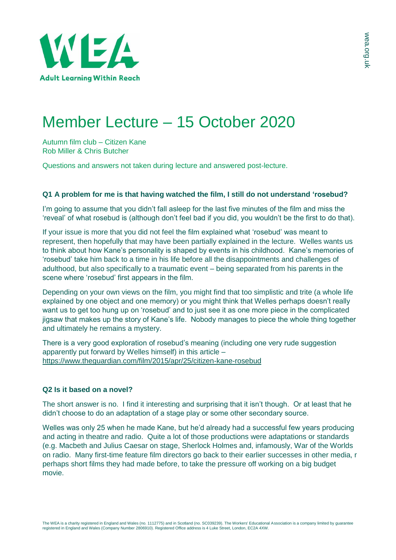

## Member Lecture – 15 October 2020

Autumn film club – Citizen Kane Rob Miller & Chris Butcher

Questions and answers not taken during lecture and answered post-lecture.

## **Q1 A problem for me is that having watched the film, I still do not understand 'rosebud?**

I'm going to assume that you didn't fall asleep for the last five minutes of the film and miss the 'reveal' of what rosebud is (although don't feel bad if you did, you wouldn't be the first to do that).

If your issue is more that you did not feel the film explained what 'rosebud' was meant to represent, then hopefully that may have been partially explained in the lecture. Welles wants us to think about how Kane's personality is shaped by events in his childhood. Kane's memories of 'rosebud' take him back to a time in his life before all the disappointments and challenges of adulthood, but also specifically to a traumatic event – being separated from his parents in the scene where 'rosebud' first appears in the film.

Depending on your own views on the film, you might find that too simplistic and trite (a whole life explained by one object and one memory) or you might think that Welles perhaps doesn't really want us to get too hung up on 'rosebud' and to just see it as one more piece in the complicated jigsaw that makes up the story of Kane's life. Nobody manages to piece the whole thing together and ultimately he remains a mystery.

There is a very good exploration of rosebud's meaning (including one very rude suggestion apparently put forward by Welles himself) in this article – <https://www.theguardian.com/film/2015/apr/25/citizen-kane-rosebud>

## **Q2 Is it based on a novel?**

The short answer is no. I find it interesting and surprising that it isn't though. Or at least that he didn't choose to do an adaptation of a stage play or some other secondary source.

Welles was only 25 when he made Kane, but he'd already had a successful few years producing and acting in theatre and radio. Quite a lot of those productions were adaptations or standards (e.g. Macbeth and Julius Caesar on stage, Sherlock Holmes and, infamously, War of the Worlds on radio. Many first-time feature film directors go back to their earlier successes in other media, r perhaps short films they had made before, to take the pressure off working on a big budget movie.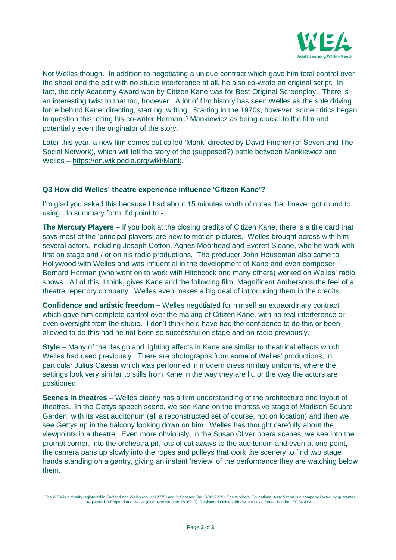

Not Welles though. In addition to negotiating a unique contract which gave him total control over the shoot and the edit with no studio interference at all, he also co-wrote an original script. In fact, the only Academy Award won by Citizen Kane was for Best Original Screenplay. There is an interesting twist to that too, however. A lot of film history has seen Welles as the sole driving force behind Kane, directing, starring, writing. Starting in the 1970s, however, some critics began to question this, citing his co-writer Herman J Mankiewicz as being crucial to the film and potentially even the originator of the story.

Later this year, a new film comes out called 'Mank' directed by David Fincher (of Seven and The Social Network), which will tell the story of the (supposed?) battle between Mankiewicz and Welles – [https://en.wikipedia.org/wiki/Mank.](https://en.wikipedia.org/wiki/Mank)

## **Q3 How did Welles' theatre experience influence 'Citizen Kane'?**

I'm glad you asked this because I had about 15 minutes worth of notes that I never got round to using. In summary form, I'd point to:-

**The Mercury Players** – if you look at the closing credits of Citizen Kane, there is a title card that says most of the 'principal players' are new to motion pictures. Welles brought across with him several actors, including Joseph Cotton, Agnes Moorhead and Everett Sloane, who he work with first on stage and / or on his radio productions. The producer John Houseman also came to Hollywood with Welles and was influential in the development of Kane and even composer Bernard Herman (who went on to work with Hitchcock and many others) worked on Welles' radio shows. All of this, I think, gives Kane and the following film, Magnificent Ambersons the feel of a theatre repertory company. Welles even makes a big deal of introducing them in the credits.

**Confidence and artistic freedom** – Welles negotiated for himself an extraordinary contract which gave him complete control over the making of Citizen Kane, with no real interference or even oversight from the studio. I don't think he'd have had the confidence to do this or been allowed to do this had he not been so successful on stage and on radio previously.

**Style** – Many of the design and lighting effects in Kane are similar to theatrical effects which Welles had used previously. There are photographs from some of Welles' productions, in particular Julius Caesar which was performed in modern dress military uniforms, where the settings look very similar to stills from Kane in the way they are lit, or the way the actors are positioned.

**Scenes in theatres** – Welles clearly has a firm understanding of the architecture and layout of theatres. In the Gettys speech scene, we see Kane on the impressive stage of Madison Square Garden, with its vast auditorium (all a reconstructed set of course, not on location) and then we see Gettys up in the balcony looking down on him. Welles has thought carefully about the viewpoints in a theatre. Even more obviously, in the Susan Oliver opera scenes, we see into the prompt corner, into the orchestra pit, lots of cut aways to the auditorium and even at one point, the camera pans up slowly into the ropes and pulleys that work the scenery to find two stage hands standing on a gantry, giving an instant 'review' of the performance they are watching below them.

The WEA is a charity registered in England and Wales (no. 1112775) and in Scotland (no. SC039239). The Workers' Educational Association is a company limited by guarantee registered in England and Wales (Company Number 2806910). Registered Office address is 4 Luke Street, London, EC2A 4XW.